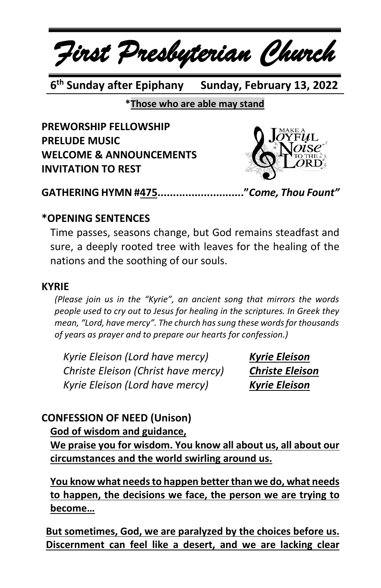

6<sup>th</sup> Sunday after Epiphany **Sunday, February 13, 2022** 

**\*Those who are able may stand**

**PREWORSHIP FELLOWSHIP PRELUDE MUSIC WELCOME & ANNOUNCEMENTS INVITATION TO REST**



**GATHERING HYMN #475............................"***Come, Thou Fount"*

## **\*OPENING SENTENCES**

Time passes, seasons change, but God remains steadfast and sure, a deeply rooted tree with leaves for the healing of the nations and the soothing of our souls.

#### **KYRIE**

*(Please join us in the "Kyrie", an ancient song that mirrors the words people used to cry out to Jesus for healing in the scriptures. In Greek they mean, "Lord, have mercy". The church has sung these words for thousands of years as prayer and to prepare our hearts for confession.)*

*Kyrie Eleison (Lord have mercy) Kyrie Eleison Christe Eleison (Christ have mercy) Christe Eleison Kyrie Eleison (Lord have mercy) Kyrie Eleison*

# **CONFESSION OF NEED (Unison)**

## **God of wisdom and guidance,**

**We praise you for wisdom. You know all about us, all about our circumstances and the world swirling around us.**

**You know what needsto happen betterthan we do, what needs to happen, the decisions we face, the person we are trying to become…**

**But sometimes, God, we are paralyzed by the choices before us. Discernment can feel like a desert, and we are lacking clear**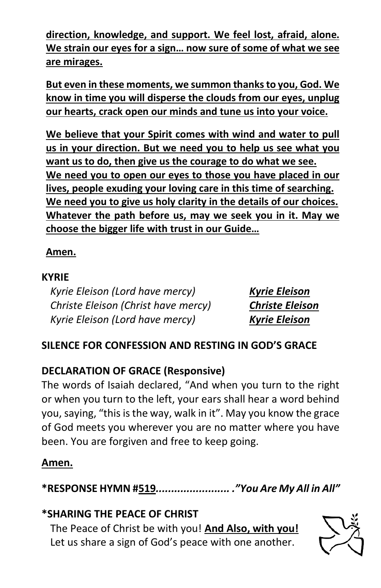**direction, knowledge, and support. We feel lost, afraid, alone. We strain our eyes for a sign… now sure of some of what we see are mirages.**

**But even in these moments, we summon thanksto you, God. We know in time you will disperse the clouds from our eyes, unplug our hearts, crack open our minds and tune us into your voice.**

**We believe that your Spirit comes with wind and water to pull us in your direction. But we need you to help us see what you want us to do, then give us the courage to do what we see. We need you to open our eyes to those you have placed in our lives, people exuding your loving care in this time of searching. We need you to give us holy clarity in the details of our choices. Whatever the path before us, may we seek you in it. May we choose the bigger life with trust in our Guide…**

## **Amen.**

#### **KYRIE**

*Kyrie Eleison (Lord have mercy) Kyrie Eleison Christe Eleison (Christ have mercy) Christe Eleison Kyrie Eleison (Lord have mercy) Kyrie Eleison*

# **SILENCE FOR CONFESSION AND RESTING IN GOD'S GRACE**

# **DECLARATION OF GRACE (Responsive)**

The words of Isaiah declared, "And when you turn to the right or when you turn to the left, your ears shall hear a word behind you, saying, "this is the way, walk in it". May you know the grace of God meets you wherever you are no matter where you have been. You are forgiven and free to keep going.

# **Amen.**

**\*RESPONSE HYMN #519***........................ ."You Are My All in All"*

## **\*SHARING THE PEACE OF CHRIST**

The Peace of Christ be with you! **And Also, with you!** Let us share a sign of God's peace with one another.

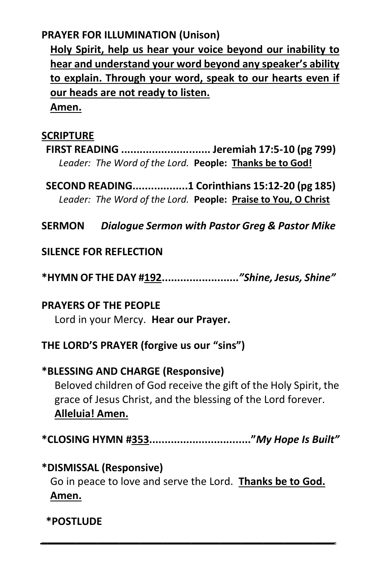## **PRAYER FOR ILLUMINATION (Unison)**

**Holy Spirit, help us hear your voice beyond our inability to hear and understand your word beyond any speaker's ability to explain. Through your word, speak to our hearts even if our heads are not ready to listen.**

**Amen.**

#### **SCRIPTURE**

**FIRST READING ............................. Jeremiah 17:5-10 (pg 799)** *Leader: The Word of the Lord.* **People: Thanks be to God!**

**SECOND READING..................1 Corinthians 15:12-20 (pg 185)** *Leader: The Word of the Lord.* **People: Praise to You, O Christ**

**SERMON** *Dialogue Sermon with Pastor Greg & Pastor Mike*

## **SILENCE FOR REFLECTION**

**\*HYMN OF THE DAY #192.........................***"Shine, Jesus, Shine"*

#### **PRAYERS OF THE PEOPLE**

Lord in your Mercy. **Hear our Prayer.**

## **THE LORD'S PRAYER (forgive us our "sins")**

# **\*BLESSING AND CHARGE (Responsive)**  Beloved children of God receive the gift of the Holy Spirit, the grace of Jesus Christ, and the blessing of the Lord forever. **Alleluia! Amen.**

**\*CLOSING HYMN #353................................."***My Hope Is Built"*

## **\*DISMISSAL (Responsive)**

Go in peace to love and serve the Lord. **Thanks be to God. Amen.**

*\_\_\_\_\_\_\_\_\_\_\_\_\_\_\_\_\_\_\_\_\_\_\_\_\_\_\_\_\_\_\_\_\_\_\_\_\_\_\_\_\_*

**\*POSTLUDE**